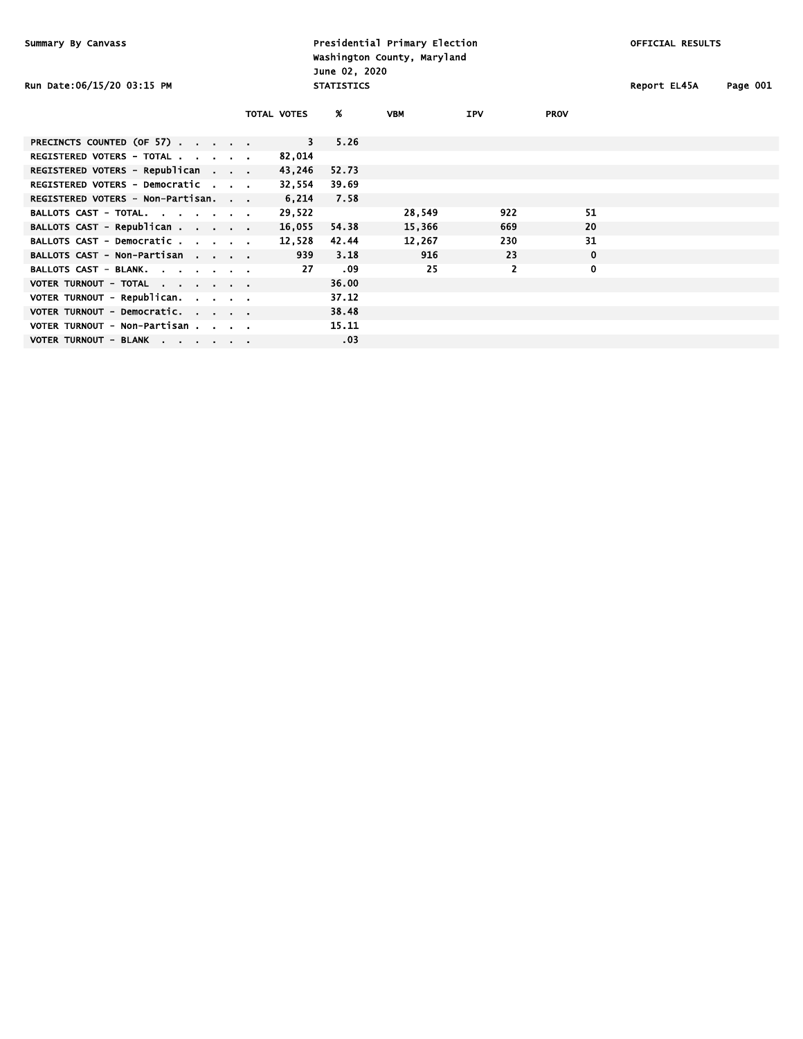Presidential Primary Election **Canadian Election** OFFICIAL RESULTS Washington County, Maryland June 02, 2020 Run Date:06/15/20 03:15 PM STATISTICS STATISTICS Report EL45A Page 001

| ιςΔ | Page 001 |  |
|-----|----------|--|

|                                            | TOTAL VOTES |        | Ж.    | <b>VBM</b> | <b>IPV</b> | <b>PROV</b> |  |
|--------------------------------------------|-------------|--------|-------|------------|------------|-------------|--|
| PRECINCTS COUNTED (OF 57)                  |             | 3      | 5.26  |            |            |             |  |
| REGISTERED VOTERS - TOTAL                  |             | 82,014 |       |            |            |             |  |
| REGISTERED VOTERS - Republican             |             | 43,246 | 52.73 |            |            |             |  |
| REGISTERED VOTERS - Democratic             |             | 32,554 | 39.69 |            |            |             |  |
| REGISTERED VOTERS - Non-Partisan.          |             | 6.214  | 7.58  |            |            |             |  |
| BALLOTS CAST - TOTAL.                      |             | 29,522 |       | 28,549     | 922        | 51          |  |
| BALLOTS CAST - Republican                  |             | 16,055 | 54.38 | 15,366     | 669        | 20          |  |
| BALLOTS CAST - Democratic                  |             | 12.528 | 42.44 | 12,267     | 230        | 31          |  |
| BALLOTS CAST - Non-Partisan                |             | 939    | 3.18  | 916        | 23         | $\mathbf 0$ |  |
| BALLOTS CAST - BLANK.                      |             | 27     | .09   | 25         | 2          | 0           |  |
| VOTER TURNOUT - TOTAL                      |             |        | 36.00 |            |            |             |  |
| VOTER TURNOUT - Republican. $\blacksquare$ |             |        | 37.12 |            |            |             |  |
| VOTER TURNOUT - Democratic.                |             |        | 38.48 |            |            |             |  |
| VOTER TURNOUT - Non-Partisan               |             |        | 15.11 |            |            |             |  |
| VOTER TURNOUT - BLANK                      |             |        | .03   |            |            |             |  |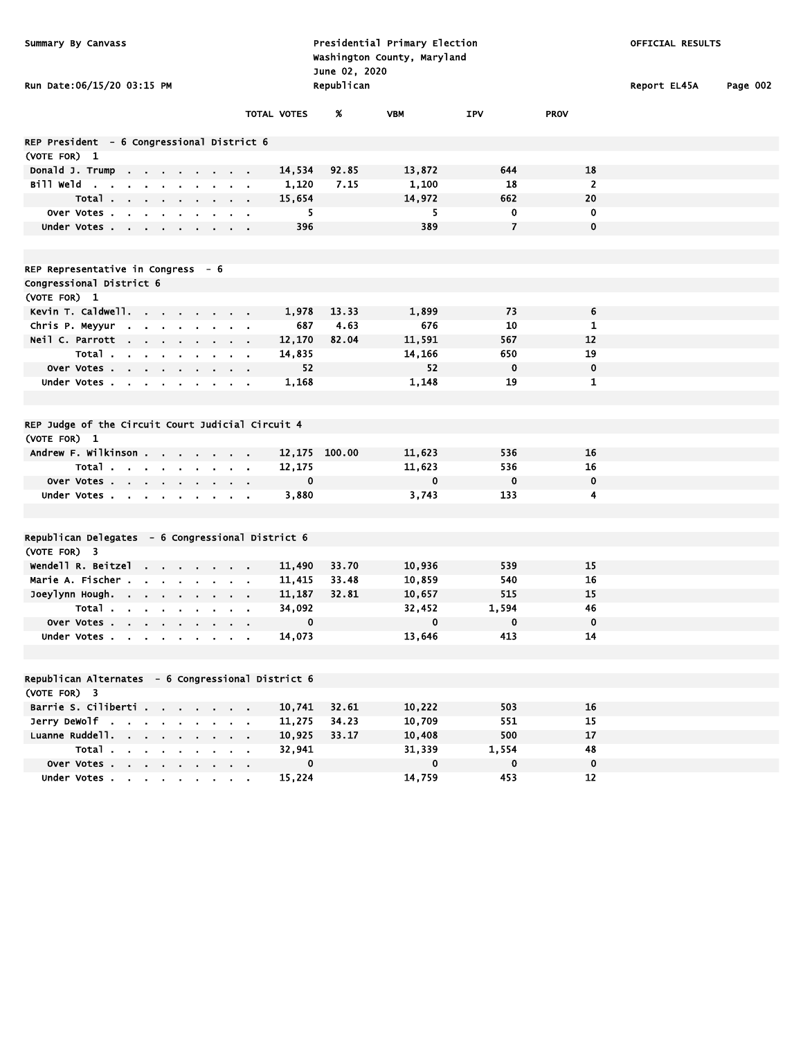| Summary By Canvass<br>Run Date:06/15/20 03:15 PM     |                               |                       | June 02, 2020<br>Republican | Presidential Primary Election<br>Washington County, Maryland |                          |             | OFFICIAL RESULTS<br>Report EL45A | Page 002 |
|------------------------------------------------------|-------------------------------|-----------------------|-----------------------------|--------------------------------------------------------------|--------------------------|-------------|----------------------------------|----------|
|                                                      |                               | TOTAL VOTES           | Ж.                          | <b>VBM</b>                                                   | IPV                      | <b>PROV</b> |                                  |          |
| REP President - 6 Congressional District 6           |                               |                       |                             |                                                              |                          |             |                                  |          |
| (VOTE FOR) 1                                         |                               |                       |                             |                                                              |                          |             |                                  |          |
| Donald J. Trump<br><b>Contract Contract Contract</b> |                               | 14,534                | 92.85                       | 13,872                                                       | 644                      | 18          |                                  |          |
| Bill Weld                                            |                               | 1,120                 | 7.15                        | 1,100                                                        | 18                       | 2           |                                  |          |
| Total                                                | $\sim$ $\sim$                 | 15,654                |                             | 14,972                                                       | 662                      | 20          |                                  |          |
| Over Votes                                           |                               | 5                     |                             | 5                                                            | 0                        | 0           |                                  |          |
| Under Votes                                          | $\mathbf{a}=\mathbf{a}$       | 396                   |                             | 389                                                          | $\overline{\phantom{a}}$ | 0           |                                  |          |
|                                                      |                               |                       |                             |                                                              |                          |             |                                  |          |
| REP Representative in Congress - 6                   |                               |                       |                             |                                                              |                          |             |                                  |          |
| Congressional District 6                             |                               |                       |                             |                                                              |                          |             |                                  |          |
| (VOTE FOR) 1                                         |                               |                       |                             |                                                              |                          |             |                                  |          |
| Kevin T. Caldwell.                                   |                               | 1,978                 | 13.33                       | 1,899                                                        | 73                       | 6           |                                  |          |
| Chris P. Meyyur                                      |                               | 687                   | 4.63                        | 676                                                          | 10                       | 1           |                                  |          |
| Neil C. Parrott                                      |                               | 12,170                | 82.04                       | 11,591                                                       | 567                      | 12          |                                  |          |
| Total                                                |                               | 14,835                |                             | 14,166                                                       | 650                      | 19          |                                  |          |
| Over Votes                                           |                               | 52                    |                             | 52                                                           | $\mathbf 0$              | 0           |                                  |          |
| Under Votes                                          |                               | 1,168                 |                             | 1,148                                                        | 19                       | 1           |                                  |          |
|                                                      |                               |                       |                             |                                                              |                          |             |                                  |          |
|                                                      |                               |                       |                             |                                                              |                          |             |                                  |          |
| REP Judge of the Circuit Court Judicial Circuit 4    |                               |                       |                             |                                                              |                          |             |                                  |          |
| (VOTE FOR) 1                                         |                               |                       |                             |                                                              |                          |             |                                  |          |
| Andrew F. Wilkinson                                  |                               |                       | 12,175 100.00               | 11,623                                                       | 536                      | 16          |                                  |          |
| Total                                                |                               | 12,175<br>$\mathbf 0$ |                             | 11,623<br>$\mathbf 0$                                        | 536<br>$\mathbf 0$       | 16<br>0     |                                  |          |
| Over Votes                                           |                               |                       |                             | 3,743                                                        | 133                      | 4           |                                  |          |
| Under Votes                                          |                               | 3,880                 |                             |                                                              |                          |             |                                  |          |
|                                                      |                               |                       |                             |                                                              |                          |             |                                  |          |
| Republican Delegates - 6 Congressional District 6    |                               |                       |                             |                                                              |                          |             |                                  |          |
| (VOTE FOR) 3                                         |                               |                       |                             |                                                              |                          |             |                                  |          |
| Wendell R. Beitzel                                   |                               | 11,490                | 33.70                       | 10,936                                                       | 539                      | 15          |                                  |          |
| Marie A. Fischer                                     |                               | 11,415                | 33.48                       | 10,859                                                       | 540                      | 16          |                                  |          |
| Joeylynn Hough.                                      | $\alpha = 0.1$                | 11,187                | 32.81                       | 10,657                                                       | 515                      | 15          |                                  |          |
| Total $\ldots$ $\ldots$ $\ldots$                     | $\alpha$ , $\beta$ , $\alpha$ | 34,092                |                             | 32,452                                                       | 1,594                    | 46          |                                  |          |
| Over Votes                                           |                               | 0                     |                             | 0                                                            | 0                        | 0           |                                  |          |
| Under Votes                                          |                               | 14,073                |                             | 13,646                                                       | 413                      | 14          |                                  |          |
|                                                      |                               |                       |                             |                                                              |                          |             |                                  |          |
| Republican Alternates - 6 Congressional District 6   |                               |                       |                             |                                                              |                          |             |                                  |          |
| (VOTE FOR) 3                                         |                               |                       |                             |                                                              |                          |             |                                  |          |
| Barrie S. Ciliberti                                  |                               | 10,741                | 32.61                       | 10,222                                                       | 503                      | 16          |                                  |          |
| Jerry DeWolf                                         |                               | 11,275                | 34.23                       | 10,709                                                       | 551                      | 15          |                                  |          |
| Luanne Ruddell.                                      |                               | 10,925                | 33.17                       | 10,408                                                       | 500                      | 17          |                                  |          |
| Total                                                |                               | 32,941                |                             | 31,339                                                       | 1,554                    | 48          |                                  |          |
| Over Votes                                           |                               | 0                     |                             | $\mathbf 0$                                                  | $\mathbf 0$              | 0           |                                  |          |
| Under Votes                                          |                               | 15,224                |                             | 14,759                                                       | 453                      | 12          |                                  |          |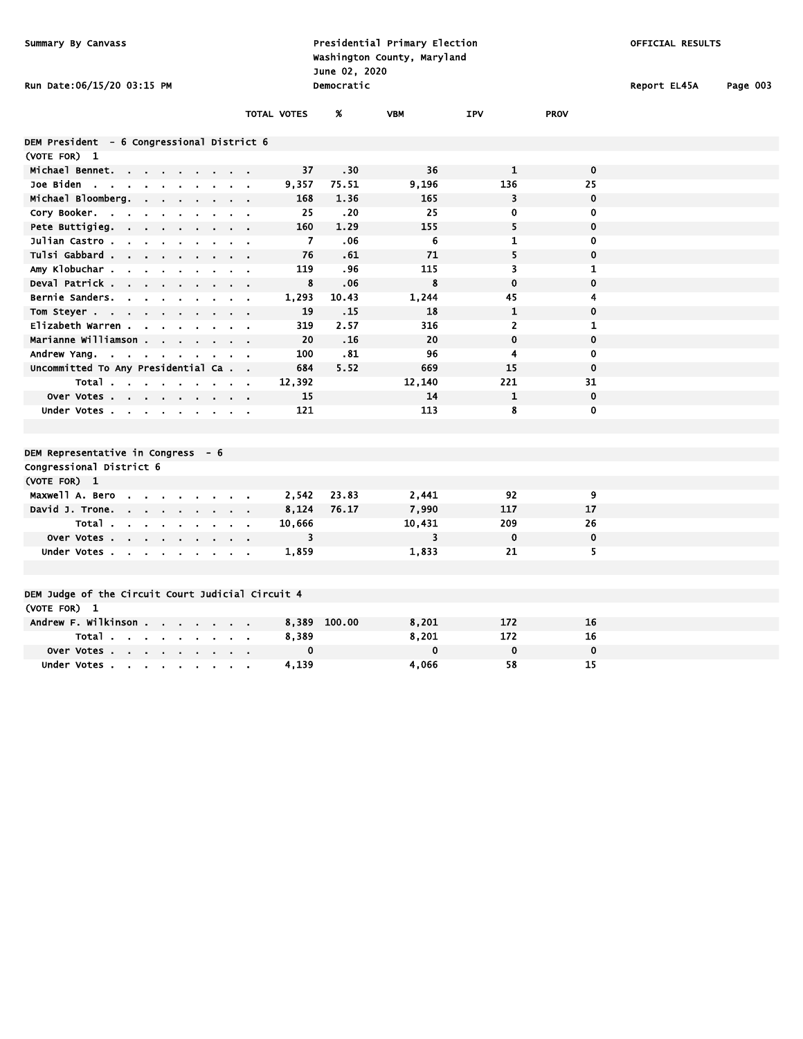| Summary By Canvass                                                                         |                              | June 02, 2020 | Presidential Primary Election<br>Washington County, Maryland |                         |              | OFFICIAL RESULTS |          |
|--------------------------------------------------------------------------------------------|------------------------------|---------------|--------------------------------------------------------------|-------------------------|--------------|------------------|----------|
| Run Date:06/15/20 03:15 PM                                                                 |                              | Democratic    |                                                              |                         |              | Report EL45A     | Page 003 |
|                                                                                            | <b>TOTAL VOTES</b>           | %             | <b>VBM</b>                                                   | <b>IPV</b>              | <b>PROV</b>  |                  |          |
| DEM President - 6 Congressional District 6                                                 |                              |               |                                                              |                         |              |                  |          |
| (VOTE FOR) 1                                                                               |                              |               |                                                              |                         |              |                  |          |
| Michael Bennet.                                                                            |                              | 37<br>.30     | 36                                                           | $\mathbf{1}$            | $\mathbf 0$  |                  |          |
| Joe Biden                                                                                  | 9,357                        | 75.51         | 9,196                                                        | 136                     | 25           |                  |          |
| Michael Bloomberg.<br>$\blacksquare$<br>$\blacksquare$<br>$\blacksquare$                   | $\mathbf{r}$                 | 168<br>1.36   | 165                                                          | 3                       | $\mathbf 0$  |                  |          |
| Cory Booker.<br>$\sim$<br>$\sim 10^{-1}$<br>$\sim$ $\sim$                                  | $\mathbf{r} = \mathbf{r}$    | 25<br>.20     | 25                                                           | 0                       | 0            |                  |          |
| Pete Buttigieg.<br>- 11<br>$\mathbf{r}$                                                    |                              | 160<br>1.29   | 155                                                          | 5                       | $\mathbf 0$  |                  |          |
| Julian Castro.<br>$\overline{a}$                                                           | $\mathbf{r} = \mathbf{r}$    | 7<br>.06      | 6                                                            | 1                       | $\mathbf 0$  |                  |          |
| Tulsi Gabbard<br>$\sim$<br>$\blacksquare$                                                  | $\sim$ $\sim$                | 76<br>.61     | 71                                                           | 5                       | $\mathbf 0$  |                  |          |
| Amy Klobuchar.                                                                             |                              | 119<br>.96    | 115                                                          | $\overline{\mathbf{3}}$ | $\mathbf{1}$ |                  |          |
| Deval Patrick<br>$\mathbf{r}$<br>$\mathbf{a}$ .                                            | $\mathbf{r} = \mathbf{r}$    | 8<br>.06      | 8                                                            | $\mathbf 0$             | $\mathbf 0$  |                  |          |
| Bernie Sanders.<br>$\sim$ $\sim$                                                           | 1,293<br>$\sim 100$          | 10.43         | 1,244                                                        | 45                      | 4            |                  |          |
| Tom Steyer<br>$\sim$                                                                       |                              | 19<br>.15     | 18                                                           | $\mathbf{1}$            | $\mathbf 0$  |                  |          |
| Elizabeth Warren .<br>$\sim$<br>$\overline{\phantom{a}}$                                   | $\mathbf{r} = \mathbf{r}$    | 319<br>2.57   | 316                                                          | $\overline{2}$          | $\mathbf{1}$ |                  |          |
| Marianne Williamson<br>$\mathbf{a} = \mathbf{a} + \mathbf{a}$                              | $\mathbf{r} = \mathbf{r}$    | 20<br>.16     | 20                                                           | $\mathbf 0$             | $\mathbf 0$  |                  |          |
| Andrew Yang.                                                                               | $\sim 100$                   | 100<br>.81    | 96                                                           | 4                       | $\mathbf 0$  |                  |          |
| Uncommitted To Any Presidential Ca                                                         |                              | 5.52<br>684   | 669                                                          | 15                      | $\mathbf 0$  |                  |          |
| Total                                                                                      | 12,392                       |               | 12,140                                                       | 221                     | 31           |                  |          |
| Over Votes                                                                                 |                              | 15            | 14                                                           | $\mathbf{1}$            | $\mathbf 0$  |                  |          |
| Under Votes<br>$\blacksquare$                                                              | $\sim$ $\sim$                | 121           | 113                                                          | 8                       | $\mathbf 0$  |                  |          |
|                                                                                            |                              |               |                                                              |                         |              |                  |          |
|                                                                                            |                              |               |                                                              |                         |              |                  |          |
| DEM Representative in Congress - 6                                                         |                              |               |                                                              |                         |              |                  |          |
| Congressional District 6                                                                   |                              |               |                                                              |                         |              |                  |          |
| (VOTE FOR) 1                                                                               |                              |               |                                                              |                         |              |                  |          |
| Maxwell A. Bero<br>$\mathbf{r}$                                                            | 2,542                        | 23.83         | 2,441                                                        | 92                      | 9            |                  |          |
| David J. Trone.<br>the contract of the con-<br>$\mathbf{r} = \mathbf{r}$<br>$\blacksquare$ | 8,124<br>$\blacksquare$      | 76.17         | 7,990                                                        | 117                     | 17           |                  |          |
| Total.<br>$\sim$<br>$\sim$                                                                 | 10,666                       |               | 10,431                                                       | 209                     | 26           |                  |          |
| Over Votes<br>$\mathbf{r}$ .<br>$\bullet$                                                  |                              | 3             | 3                                                            | $\mathbf 0$             | $\mathbf 0$  |                  |          |
| Under Votes                                                                                | 1,859                        |               | 1,833                                                        | 21                      | 5            |                  |          |
|                                                                                            |                              |               |                                                              |                         |              |                  |          |
|                                                                                            |                              |               |                                                              |                         |              |                  |          |
| DEM Judge of the Circuit Court Judicial Circuit 4                                          |                              |               |                                                              |                         |              |                  |          |
| (VOTE FOR) 1                                                                               |                              |               |                                                              |                         |              |                  |          |
| Andrew F. Wilkinson                                                                        | 8,389<br>$\sim$ $\sim$       | 100.00        | 8,201                                                        | 172                     | 16           |                  |          |
| Total                                                                                      | 8,389<br>$\sim 10$ m $^{-1}$ |               | 8,201                                                        | 172                     | 16           |                  |          |
| <b>Over Votes</b><br>$\mathbf{r}$<br><b>Contract Contract</b><br>$\sim 100$                |                              | 0             | $\mathbf 0$                                                  | 0                       | $\mathbf 0$  |                  |          |
| Under Votes<br>$\sim$<br>$\bullet$                                                         | 4,139<br>$\sim$ 10 $\pm$     |               | 4,066                                                        | 58                      | 15           |                  |          |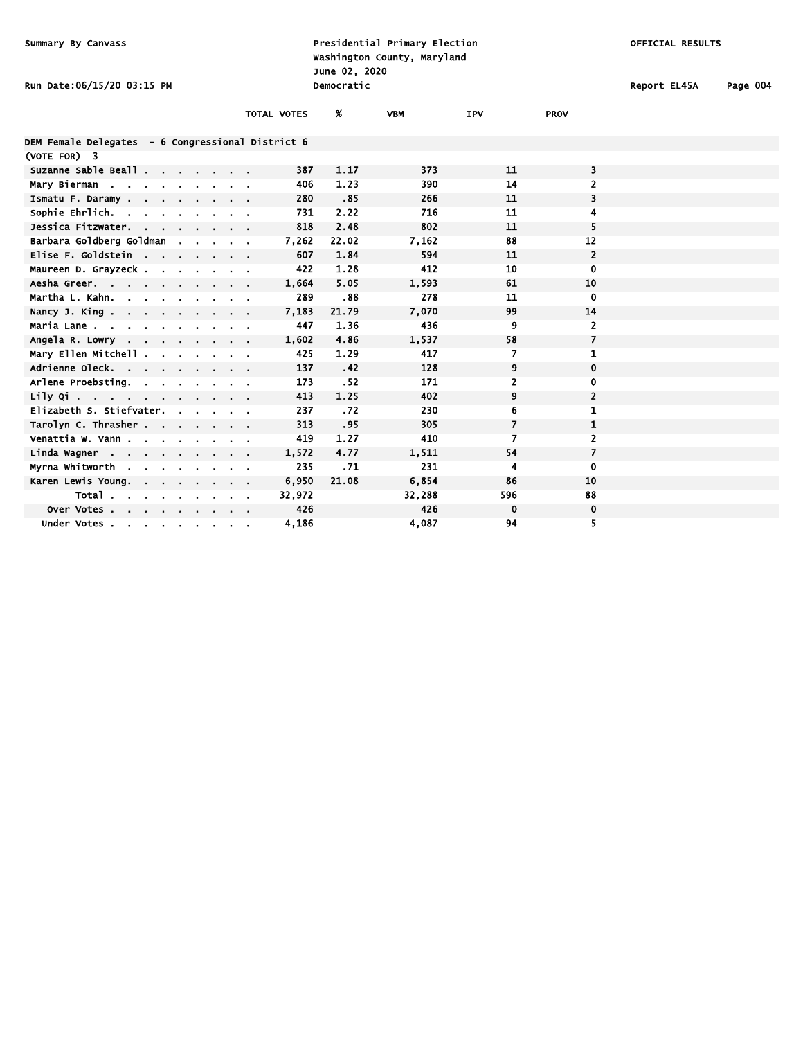| Presidential Primary Election<br>Summary By Canvass<br>Washington County, Maryland<br>June 02, 2020 |                           |                    |            |            |                          |                         | OFFICIAL RESULTS |          |  |  |
|-----------------------------------------------------------------------------------------------------|---------------------------|--------------------|------------|------------|--------------------------|-------------------------|------------------|----------|--|--|
| Run Date:06/15/20 03:15 PM                                                                          |                           |                    | Democratic |            |                          |                         | Report EL45A     | Page 004 |  |  |
|                                                                                                     |                           | <b>TOTAL VOTES</b> | %          | <b>VBM</b> | IPV                      | <b>PROV</b>             |                  |          |  |  |
| DEM Female Delegates - 6 Congressional District 6                                                   |                           |                    |            |            |                          |                         |                  |          |  |  |
| (VOTE FOR) 3                                                                                        |                           |                    |            |            |                          |                         |                  |          |  |  |
| Suzanne Sable Beall                                                                                 |                           | 387                | 1.17       | 373        | 11                       | 3                       |                  |          |  |  |
| Mary Bierman                                                                                        | $\sim 100$                | 406                | 1.23       | 390        | 14                       | 2                       |                  |          |  |  |
| Ismatu F. Daramy                                                                                    |                           | 280                | .85        | 266        | 11                       | 3                       |                  |          |  |  |
| Sophie Ehrlich. .<br>$\sim$                                                                         |                           | 731                | 2.22       | 716        | 11                       | 4                       |                  |          |  |  |
| Jessica Fitzwater.                                                                                  | $\sim$ $\sim$             | 818                | 2.48       | 802        | 11                       | 5                       |                  |          |  |  |
| Barbara Goldberg Goldman                                                                            |                           | 7,262              | 22.02      | 7,162      | 88                       | 12                      |                  |          |  |  |
| Elise F. Goldstein                                                                                  |                           | 607                | 1.84       | 594        | 11                       | $\overline{2}$          |                  |          |  |  |
| Maureen D. Grayzeck                                                                                 |                           | 422                | 1.28       | 412        | 10                       | $\mathbf 0$             |                  |          |  |  |
| Aesha Greer                                                                                         |                           | 1,664              | 5.05       | 1,593      | 61                       | 10                      |                  |          |  |  |
| Martha L. Kahn.                                                                                     | $\sim$ $\sim$             | 289                | .88        | 278        | 11                       | $\bf{0}$                |                  |          |  |  |
| Nancy J. King.                                                                                      |                           | 7,183              | 21.79      | 7,070      | 99                       | 14                      |                  |          |  |  |
| Maria Lane                                                                                          |                           | 447                | 1.36       | 436        | 9                        | $\overline{2}$          |                  |          |  |  |
| Angela R. Lowry                                                                                     |                           | 1,602              | 4.86       | 1,537      | 58                       | $\overline{7}$          |                  |          |  |  |
| Mary Ellen Mitchell                                                                                 |                           | 425                | 1.29       | 417        | 7                        | $\mathbf{1}$            |                  |          |  |  |
| Adrienne Oleck.                                                                                     |                           | 137                | .42        | 128        | 9                        | $\mathbf 0$             |                  |          |  |  |
| Arlene Proebsting.<br>$\mathbf{r} = \mathbf{r}$                                                     | $\alpha = 0.1$            | 173                | .52        | 171        | $\overline{2}$           | $\mathbf 0$             |                  |          |  |  |
| Lily Qi $\cdots$ $\cdots$ $\cdots$                                                                  |                           | 413                | 1.25       | 402        | 9                        | $\overline{\mathbf{2}}$ |                  |          |  |  |
| Elizabeth S. Stiefvater.                                                                            |                           | 237                | .72        | 230        | 6                        | 1                       |                  |          |  |  |
| Tarolyn C. Thrasher                                                                                 |                           | 313                | .95        | 305        | $\overline{\phantom{a}}$ | $\mathbf{1}$            |                  |          |  |  |
| Venattia W. Vann                                                                                    | $\mathbf{a} = \mathbf{a}$ | 419                | 1.27       | 410        | 7                        | $\overline{2}$          |                  |          |  |  |
| Linda Wagner                                                                                        |                           | 1,572              | 4.77       | 1,511      | 54                       | $\overline{7}$          |                  |          |  |  |
| Myrna Whitworth .<br>$\sim$                                                                         |                           | 235                | .71        | 231        | 4                        | 0                       |                  |          |  |  |
| Karen Lewis Young.                                                                                  |                           | 6,950              | 21.08      | 6,854      | 86                       | 10                      |                  |          |  |  |
| Total                                                                                               |                           | 32,972             |            | 32,288     | 596                      | 88                      |                  |          |  |  |
| Over Votes                                                                                          |                           | 426                |            | 426        | $\mathbf 0$              | 0                       |                  |          |  |  |
| Under Votes                                                                                         |                           | 4,186              |            | 4,087      | 94                       | 5                       |                  |          |  |  |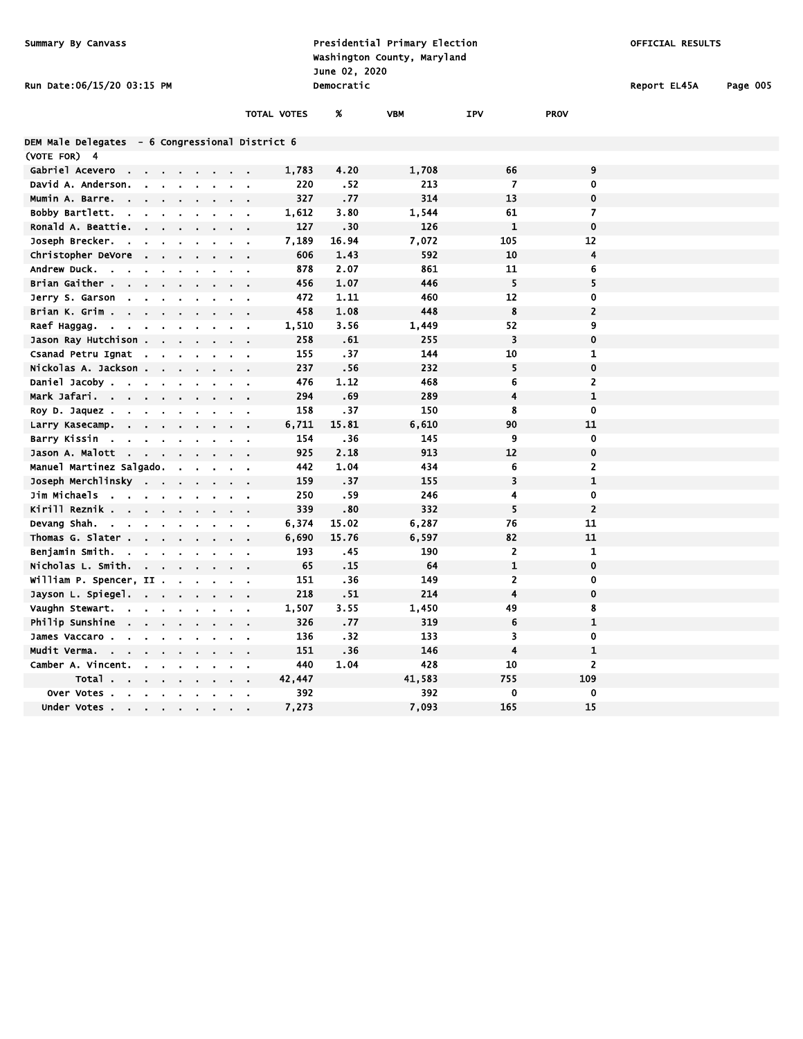| Presidential Primary Election<br>Summary By Canvass<br>Washington County, Maryland<br>June 02, 2020 |                           |                |        |                                            |                    |             |            | OFFICIAL RESULTS        |                  |              |          |
|-----------------------------------------------------------------------------------------------------|---------------------------|----------------|--------|--------------------------------------------|--------------------|-------------|------------|-------------------------|------------------|--------------|----------|
| <b>Run Date:06/15/20 03:15 PM</b>                                                                   |                           |                |        |                                            |                    | Democratic  |            |                         |                  | Report EL45A | Page 005 |
|                                                                                                     |                           |                |        |                                            | <b>TOTAL VOTES</b> | X           | <b>VBM</b> | IPV                     | <b>PROV</b>      |              |          |
| DEM Male Delegates - 6 Congressional District 6                                                     |                           |                |        |                                            |                    |             |            |                         |                  |              |          |
| (VOTE FOR) 4                                                                                        |                           |                |        |                                            |                    |             |            |                         |                  |              |          |
| Gabriel Acevero                                                                                     |                           |                |        |                                            | 1,783              | 4.20        | 1,708      | 66                      | 9                |              |          |
| David A. Anderson.                                                                                  |                           |                |        |                                            | 220<br>327         | .52         | 213<br>314 | $\overline{7}$<br>13    | 0<br>$\mathbf 0$ |              |          |
| Mumin A. Barre.<br>Bobby Bartlett.<br>$\sim$                                                        |                           |                |        |                                            |                    | .77<br>3.80 | 1,544      | 61                      | $\overline{7}$   |              |          |
| $\sim$<br>$\mathbf{r}$<br>Ronald A. Beattie.                                                        | $\bullet$                 |                |        | $\mathbf{a} = \mathbf{a} \cdot \mathbf{a}$ | 1,612<br>127       | .30         | 126        | $\mathbf 1$             | $\mathbf 0$      |              |          |
| Joseph Brecker.<br>$\sim$                                                                           |                           | $\mathbf{r}$   |        |                                            | 7,189              | 16.94       | 7,072      | 105                     | 12               |              |          |
| Christopher DeVore                                                                                  | $\mathbf{r}$              |                |        | $\mathbf{r} = \mathbf{r} \cdot \mathbf{r}$ | 606                | 1.43        | 592        | 10                      | 4                |              |          |
| Andrew Duck.<br>$\sim$                                                                              |                           |                |        | $\mathbf{a} = \mathbf{a} \cdot \mathbf{a}$ | 878                | 2.07        | 861        | 11                      | 6                |              |          |
| Brian Gaither .                                                                                     |                           |                |        | $\mathbf{r} = \mathbf{r}$                  | 456                | 1.07        | 446        | 5                       | 5                |              |          |
| Jerry S. Garson<br>$\mathbf{r}$                                                                     |                           |                |        | $\mathbf{r} = \mathbf{r}$                  | 472                | 1.11        | 460        | 12                      | $\bf{0}$         |              |          |
| Brian K. Grim .<br>$\mathbf{r} = \mathbf{r}$                                                        |                           |                |        | $\sim$ $\sim$                              | 458                | 1.08        | 448        | 8                       | $\overline{2}$   |              |          |
| Raef Haggag.<br>$\sim$ 10 $\sim$<br>$\sim$<br>$\mathbf{r}$<br>۰.                                    |                           |                |        | $\alpha = 0.1$                             | 1,510              | 3.56        | 1,449      | 52                      | 9                |              |          |
| Jason Ray Hutchison .<br>$\blacksquare$                                                             | a.                        |                |        |                                            | 258                | .61         | 255        | 3                       | $\pmb{0}$        |              |          |
| Csanad Petru Ignat<br>$\sim$<br>$\ddot{\phantom{a}}$                                                |                           |                |        | $\sim$ 100 $\pm$                           | 155                | .37         | 144        | 10                      | $\mathbf{1}$     |              |          |
| Nickolas A. Jackson .<br>$\sim$                                                                     | $\mathbf{r} = \mathbf{r}$ |                |        | $\sim$ $\sim$                              | 237                | .56         | 232        | 5                       | $\mathbf 0$      |              |          |
| Daniel Jacoby .                                                                                     |                           |                |        |                                            | 476                | 1.12        | 468        | 6                       | $\overline{2}$   |              |          |
| Mark Jafari.<br>$\sim$ 100 $\mu$<br>$\mathbf{a} = \mathbf{a} \cdot \mathbf{a}$<br>$\sim$            |                           |                |        | $\mathbf{r} = \mathbf{r} \cdot \mathbf{r}$ | 294                | .69         | 289        | $\overline{\mathbf{4}}$ | $\mathbf{1}$     |              |          |
| Roy D. Jaquez.                                                                                      |                           |                |        | $\overline{\phantom{a}}$                   | 158                | .37         | 150        | 8                       | $\overline{0}$   |              |          |
| Larry Kasecamp.<br>$\mathbf{r}$<br>$\blacksquare$<br>$\blacksquare$                                 |                           |                |        | $\mathbf{r} = \mathbf{r}$                  | 6,711              | 15.81       | 6,610      | 90                      | 11               |              |          |
| Barry Kissin                                                                                        | $\mathbf{r}$              | $\blacksquare$ |        | $\mathbf{r} = \mathbf{r}$                  | 154                | .36         | 145        | 9                       | $\mathbf 0$      |              |          |
| Jason A. Malott<br>$\sim$<br>$\overline{a}$<br>$\bullet$                                            | $\blacksquare$            |                |        | $\bullet$                                  | 925                | 2.18        | 913        | 12                      | $\mathbf 0$      |              |          |
| Manuel Martinez Salgado.                                                                            | $\mathbf{r}$              | $\blacksquare$ | $\sim$ | $\sim 100$                                 | 442                | 1.04        | 434        | 6                       | $\overline{2}$   |              |          |
| Joseph Merchlinsky<br>$\sim$ $\sim$                                                                 |                           |                |        | $\sim$ $\sim$                              | 159                | .37         | 155        | 3                       | $\mathbf{1}$     |              |          |
| Jim Michaels<br>$\sim$ $\sim$<br>$\sim$<br>$\mathbf{r}$                                             | $\mathbf{r}$              |                |        | $\mathbf{r} = \mathbf{r}$                  | 250                | .59         | 246        | 4                       | $\mathbf 0$      |              |          |
| Kirill Reznik<br>$\cdot$                                                                            |                           |                |        |                                            | 339                | .80         | 332        | 5                       | $\overline{2}$   |              |          |
| Devang Shah.<br>$\sim$<br>$\mathbf{r}$<br>$\sim$<br>$\blacksquare$                                  |                           |                |        | $\mathbf{r} = \mathbf{r}$                  | 6,374              | 15.02       | 6,287      | 76                      | 11               |              |          |
| Thomas G. Slater.<br>$\sim$                                                                         |                           |                |        | $\mathbf{r} = \mathbf{r}$                  | 6,690              | 15.76       | 6,597      | 82                      | 11               |              |          |
| Benjamin Smith.<br>$\mathbf{r}$<br>$\mathbf{r}$                                                     |                           |                |        | $\mathbf{r} = \mathbf{r} \cdot \mathbf{r}$ | 193                | .45         | 190        | $\overline{2}$          | $\mathbf{1}$     |              |          |
| Nicholas L. Smith.<br>$\sim$<br>$\mathbf{r}$                                                        | $\mathbf{r}$ .            | $\blacksquare$ |        | $\sim$<br>$\bullet$                        | 65                 | .15         | 64         | $\mathbf{1}$            | $\mathbf 0$      |              |          |
| William P. Spencer, II .                                                                            |                           | $\blacksquare$ |        | $\sim$ $\sim$                              | 151                | - 36        | 149        | $\overline{2}$          | $\bf{0}$         |              |          |
| Jayson L. Spiegel.<br>$\epsilon$                                                                    | $\mathbf{r}$              | $\blacksquare$ |        | $\mathbf{r} = \mathbf{r}$                  | 218                | .51         | 214        | $\overline{4}$          | $\pmb{0}$        |              |          |
| Vaughn Stewart.                                                                                     |                           |                |        | $\alpha$                                   | 1,507              | 3.55        | 1,450      | 49                      | 8                |              |          |
| Philip Sunshine<br><b>Contract Contract</b><br>$\cdot$                                              | $\bullet$ .               |                |        | $\sim$ $\sim$                              | 326                | .77         | 319        | 6                       | $\mathbf{1}$     |              |          |
| James Vaccaro .                                                                                     |                           |                |        |                                            | 136                | .32         | 133        | 3                       | 0                |              |          |
| Mudit Verma.<br>$\sim 10^{-11}$<br>$\sim$<br>$\mathbf{r}$                                           |                           |                |        | $\mathbf{r} = \mathbf{r}$                  | 151                | $-36$       | 146        | $\overline{4}$          | $\mathbf 1$      |              |          |
| Camber A. Vincent.<br>$\mathbf{r}$                                                                  | $\sim$                    | $\bullet$      |        | $\mathbf{r} = \mathbf{r}$                  | 440                | 1.04        | 428        | 10                      | $\overline{2}$   |              |          |
| Total .                                                                                             | ×.                        |                |        | $\bullet$                                  | 42,447             |             | 41,583     | 755                     | 109              |              |          |
| Over Votes                                                                                          | $\sim$                    | $\bullet$      |        | $\mathbf{r} = \mathbf{r}$                  | 392                |             | 392        | 0                       | $\mathbf 0$      |              |          |
| Under Votes .<br>$\mathbf{r}$ .                                                                     |                           |                |        |                                            | 7,273              |             | 7,093      | 165                     | 15               |              |          |